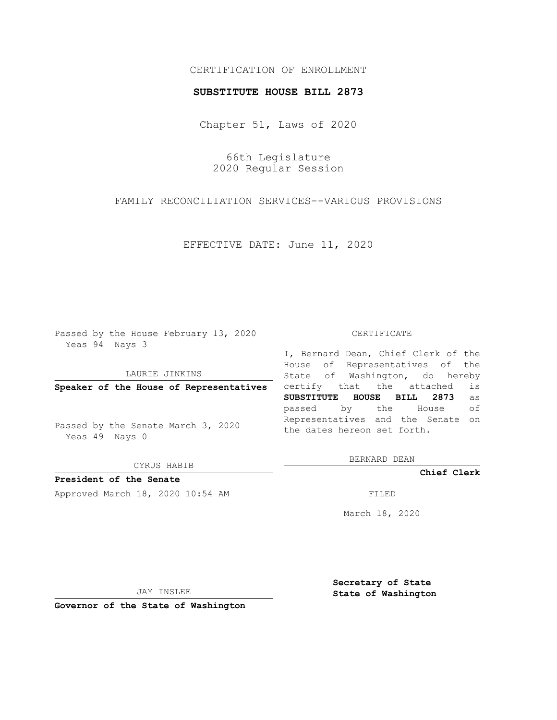# CERTIFICATION OF ENROLLMENT

### **SUBSTITUTE HOUSE BILL 2873**

Chapter 51, Laws of 2020

66th Legislature 2020 Regular Session

FAMILY RECONCILIATION SERVICES--VARIOUS PROVISIONS

EFFECTIVE DATE: June 11, 2020

Passed by the House February 13, 2020 Yeas 94 Nays 3

LAURIE JINKINS

**Speaker of the House of Representatives**

Passed by the Senate March 3, 2020 Yeas 49 Nays 0

CYRUS HABIB

**President of the Senate** Approved March 18, 2020 10:54 AM FILED

#### CERTIFICATE

I, Bernard Dean, Chief Clerk of the House of Representatives of the State of Washington, do hereby certify that the attached is **SUBSTITUTE HOUSE BILL 2873** as passed by the House of Representatives and the Senate on the dates hereon set forth.

BERNARD DEAN

**Chief Clerk**

March 18, 2020

JAY INSLEE

**Governor of the State of Washington**

**Secretary of State State of Washington**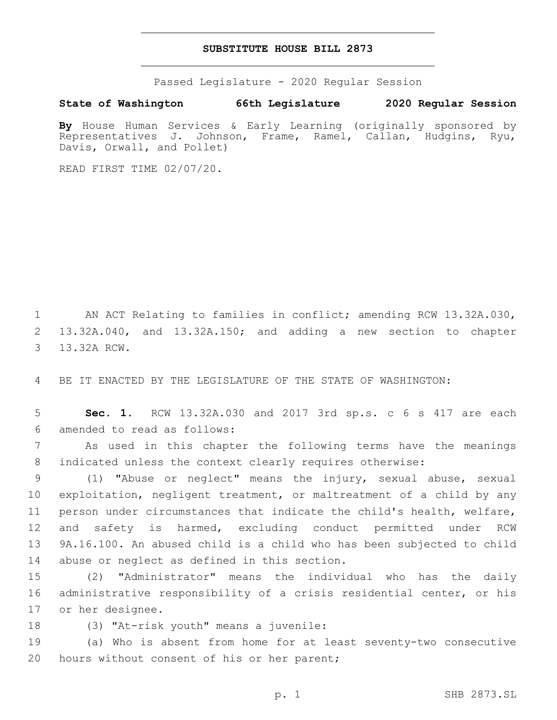## **SUBSTITUTE HOUSE BILL 2873**

Passed Legislature - 2020 Regular Session

## **State of Washington 66th Legislature 2020 Regular Session**

**By** House Human Services & Early Learning (originally sponsored by Representatives J. Johnson, Frame, Ramel, Callan, Hudgins, Ryu, Davis, Orwall, and Pollet)

READ FIRST TIME 02/07/20.

1 AN ACT Relating to families in conflict; amending RCW 13.32A.030, 2 13.32A.040, and 13.32A.150; and adding a new section to chapter 3 13.32A RCW.

4 BE IT ENACTED BY THE LEGISLATURE OF THE STATE OF WASHINGTON:

5 **Sec. 1.** RCW 13.32A.030 and 2017 3rd sp.s. c 6 s 417 are each 6 amended to read as follows:

7 As used in this chapter the following terms have the meanings 8 indicated unless the context clearly requires otherwise:

 (1) "Abuse or neglect" means the injury, sexual abuse, sexual exploitation, negligent treatment, or maltreatment of a child by any person under circumstances that indicate the child's health, welfare, and safety is harmed, excluding conduct permitted under RCW 9A.16.100. An abused child is a child who has been subjected to child 14 abuse or neglect as defined in this section.

15 (2) "Administrator" means the individual who has the daily 16 administrative responsibility of a crisis residential center, or his 17 or her designee.

18 (3) "At-risk youth" means a juvenile:

19 (a) Who is absent from home for at least seventy-two consecutive 20 hours without consent of his or her parent;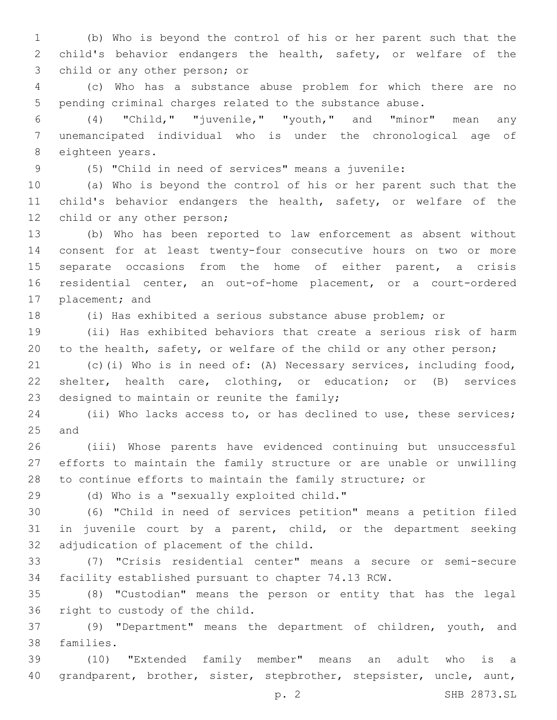(b) Who is beyond the control of his or her parent such that the child's behavior endangers the health, safety, or welfare of the 3 child or any other person; or

 (c) Who has a substance abuse problem for which there are no pending criminal charges related to the substance abuse.

 (4) "Child," "juvenile," "youth," and "minor" mean any unemancipated individual who is under the chronological age of 8 eighteen years.

(5) "Child in need of services" means a juvenile:

 (a) Who is beyond the control of his or her parent such that the child's behavior endangers the health, safety, or welfare of the 12 child or any other person;

 (b) Who has been reported to law enforcement as absent without consent for at least twenty-four consecutive hours on two or more separate occasions from the home of either parent, a crisis residential center, an out-of-home placement, or a court-ordered 17 placement; and

(i) Has exhibited a serious substance abuse problem; or

 (ii) Has exhibited behaviors that create a serious risk of harm to the health, safety, or welfare of the child or any other person;

 (c)(i) Who is in need of: (A) Necessary services, including food, shelter, health care, clothing, or education; or (B) services 23 designed to maintain or reunite the family;

 (ii) Who lacks access to, or has declined to use, these services; 25 and

 (iii) Whose parents have evidenced continuing but unsuccessful efforts to maintain the family structure or are unable or unwilling to continue efforts to maintain the family structure; or

(d) Who is a "sexually exploited child."29

 (6) "Child in need of services petition" means a petition filed in juvenile court by a parent, child, or the department seeking 32 adjudication of placement of the child.

 (7) "Crisis residential center" means a secure or semi-secure facility established pursuant to chapter 74.13 RCW.

 (8) "Custodian" means the person or entity that has the legal 36 right to custody of the child.

 (9) "Department" means the department of children, youth, and 38 families.

 (10) "Extended family member" means an adult who is a grandparent, brother, sister, stepbrother, stepsister, uncle, aunt,

p. 2 SHB 2873.SL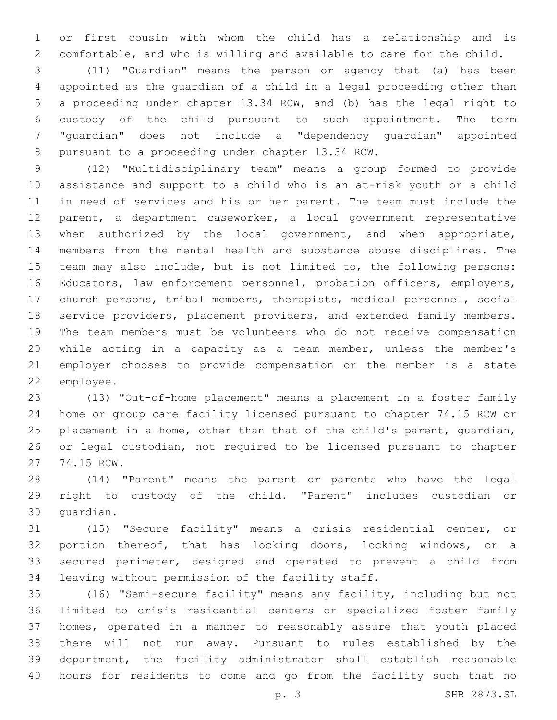or first cousin with whom the child has a relationship and is comfortable, and who is willing and available to care for the child.

 (11) "Guardian" means the person or agency that (a) has been appointed as the guardian of a child in a legal proceeding other than a proceeding under chapter 13.34 RCW, and (b) has the legal right to custody of the child pursuant to such appointment. The term "guardian" does not include a "dependency guardian" appointed 8 pursuant to a proceeding under chapter 13.34 RCW.

 (12) "Multidisciplinary team" means a group formed to provide assistance and support to a child who is an at-risk youth or a child in need of services and his or her parent. The team must include the parent, a department caseworker, a local government representative when authorized by the local government, and when appropriate, members from the mental health and substance abuse disciplines. The team may also include, but is not limited to, the following persons: Educators, law enforcement personnel, probation officers, employers, church persons, tribal members, therapists, medical personnel, social service providers, placement providers, and extended family members. The team members must be volunteers who do not receive compensation while acting in a capacity as a team member, unless the member's employer chooses to provide compensation or the member is a state 22 employee.

 (13) "Out-of-home placement" means a placement in a foster family home or group care facility licensed pursuant to chapter 74.15 RCW or 25 placement in a home, other than that of the child's parent, quardian, or legal custodian, not required to be licensed pursuant to chapter 27 74.15 RCW.

 (14) "Parent" means the parent or parents who have the legal right to custody of the child. "Parent" includes custodian or 30 quardian.

 (15) "Secure facility" means a crisis residential center, or portion thereof, that has locking doors, locking windows, or a secured perimeter, designed and operated to prevent a child from 34 leaving without permission of the facility staff.

 (16) "Semi-secure facility" means any facility, including but not limited to crisis residential centers or specialized foster family homes, operated in a manner to reasonably assure that youth placed there will not run away. Pursuant to rules established by the department, the facility administrator shall establish reasonable hours for residents to come and go from the facility such that no

p. 3 SHB 2873.SL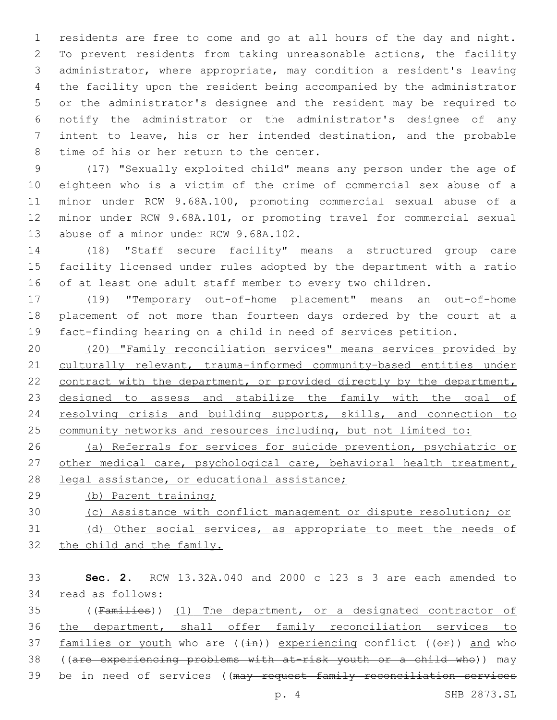residents are free to come and go at all hours of the day and night. To prevent residents from taking unreasonable actions, the facility administrator, where appropriate, may condition a resident's leaving the facility upon the resident being accompanied by the administrator or the administrator's designee and the resident may be required to notify the administrator or the administrator's designee of any intent to leave, his or her intended destination, and the probable 8 time of his or her return to the center.

 (17) "Sexually exploited child" means any person under the age of eighteen who is a victim of the crime of commercial sex abuse of a minor under RCW 9.68A.100, promoting commercial sexual abuse of a minor under RCW 9.68A.101, or promoting travel for commercial sexual 13 abuse of a minor under RCW 9.68A.102.

 (18) "Staff secure facility" means a structured group care facility licensed under rules adopted by the department with a ratio of at least one adult staff member to every two children.

 (19) "Temporary out-of-home placement" means an out-of-home placement of not more than fourteen days ordered by the court at a fact-finding hearing on a child in need of services petition.

 (20) "Family reconciliation services" means services provided by culturally relevant, trauma-informed community-based entities under 22 contract with the department, or provided directly by the department, 23 designed to assess and stabilize the family with the goal of 24 resolving crisis and building supports, skills, and connection to 25 community networks and resources including, but not limited to:

 (a) Referrals for services for suicide prevention, psychiatric or 27 other medical care, psychological care, behavioral health treatment, 28 legal assistance, or educational assistance;

(b) Parent training;

- (c) Assistance with conflict management or dispute resolution; or
- (d) Other social services, as appropriate to meet the needs of the child and the family.
- **Sec. 2.** RCW 13.32A.040 and 2000 c 123 s 3 are each amended to 34 read as follows: ((Families)) (1) The department, or a designated contractor of the department, shall offer family reconciliation services to 37 families or youth who are  $((\pm n))$  experiencing conflict  $((\theta \pm))$  and who ((are experiencing problems with at-risk youth or a child who)) may 39 be in need of services ((may request family reconciliation services

p. 4 SHB 2873.SL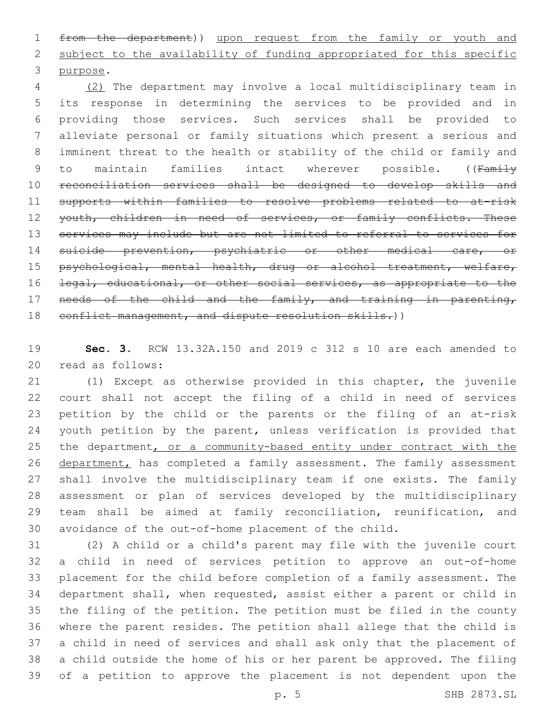from the department)) upon request from the family or youth and 2 subject to the availability of funding appropriated for this specific 3 purpose.

 (2) The department may involve a local multidisciplinary team in its response in determining the services to be provided and in providing those services. Such services shall be provided to alleviate personal or family situations which present a serious and imminent threat to the health or stability of the child or family and 9 to maintain families intact wherever possible. ((Family reconciliation services shall be designed to develop skills and supports within families to resolve problems related to at-risk 12 youth, children in need of services, or family conflicts. These services may include but are not limited to referral to services for suicide prevention, psychiatric or other medical care, or 15 psychological, mental health, drug or alcohol treatment, welfare, 16 <del>legal, educational, or other social services, as appropriate to the</del> needs of the child and the family, and training in parenting, 18 conflict management, and dispute resolution skills.))

 **Sec. 3.** RCW 13.32A.150 and 2019 c 312 s 10 are each amended to 20 read as follows:

 (1) Except as otherwise provided in this chapter, the juvenile court shall not accept the filing of a child in need of services petition by the child or the parents or the filing of an at-risk 24 youth petition by the parent, unless verification is provided that the department, or a community-based entity under contract with the 26 department, has completed a family assessment. The family assessment shall involve the multidisciplinary team if one exists. The family assessment or plan of services developed by the multidisciplinary team shall be aimed at family reconciliation, reunification, and avoidance of the out-of-home placement of the child.

 (2) A child or a child's parent may file with the juvenile court a child in need of services petition to approve an out-of-home placement for the child before completion of a family assessment. The department shall, when requested, assist either a parent or child in the filing of the petition. The petition must be filed in the county where the parent resides. The petition shall allege that the child is a child in need of services and shall ask only that the placement of a child outside the home of his or her parent be approved. The filing of a petition to approve the placement is not dependent upon the